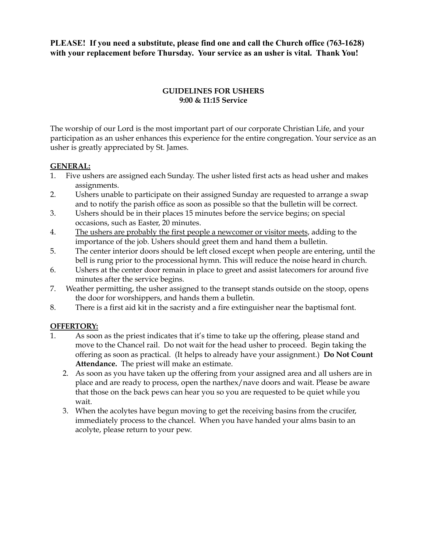**PLEASE! If you need a substitute, please find one and call the Church office (763-1628) with your replacement before Thursday. Your service as an usher is vital. Thank You!**

### **GUIDELINES FOR USHERS 9:00 & 11:15 Service**

The worship of our Lord is the most important part of our corporate Christian Life, and your participation as an usher enhances this experience for the entire congregation. Your service as an usher is greatly appreciated by St. James.

### **GENERAL:**

- 1. Five ushers are assigned each Sunday. The usher listed first acts as head usher and makes assignments.
- 2. Ushers unable to participate on their assigned Sunday are requested to arrange a swap and to notify the parish office as soon as possible so that the bulletin will be correct.
- 3. Ushers should be in their places 15 minutes before the service begins; on special occasions, such as Easter, 20 minutes.
- 4. The ushers are probably the first people a newcomer or visitor meets, adding to the importance of the job. Ushers should greet them and hand them a bulletin.
- 5. The center interior doors should be left closed except when people are entering, until the bell is rung prior to the processional hymn. This will reduce the noise heard in church.
- 6. Ushers at the center door remain in place to greet and assist latecomers for around five minutes after the service begins.
- 7. Weather permitting, the usher assigned to the transept stands outside on the stoop, opens the door for worshippers, and hands them a bulletin.
- 8. There is a first aid kit in the sacristy and a fire extinguisher near the baptismal font.

# **OFFERTORY:**

- 1. As soon as the priest indicates that it's time to take up the offering, please stand and move to the Chancel rail. Do not wait for the head usher to proceed. Begin taking the offering as soon as practical. (It helps to already have your assignment.) **Do Not Count Attendance.** The priest will make an estimate.
	- 2. As soon as you have taken up the offering from your assigned area and all ushers are in place and are ready to process, open the narthex/nave doors and wait. Please be aware that those on the back pews can hear you so you are requested to be quiet while you wait.
	- 3. When the acolytes have begun moving to get the receiving basins from the crucifer, immediately process to the chancel. When you have handed your alms basin to an acolyte, please return to your pew.